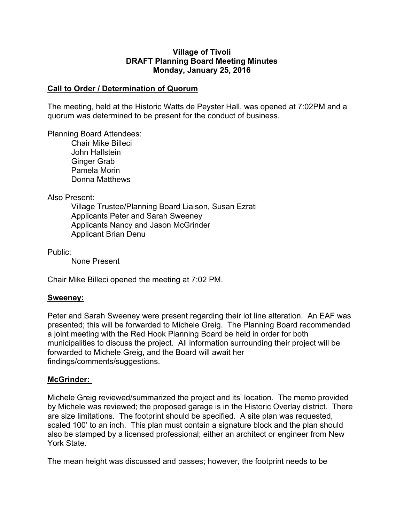#### **Village of Tivoli DRAFT Planning Board Meeting Minutes Monday, January 25, 2016**

## **Call to Order / Determination of Quorum**

The meeting, held at the Historic Watts de Peyster Hall, was opened at 7:02PM and a quorum was determined to be present for the conduct of business.

Planning Board Attendees:

Chair Mike Billeci John Hallstein Ginger Grab Pamela Morin Donna Matthews

Also Present:

Village Trustee/Planning Board Liaison, Susan Ezrati Applicants Peter and Sarah Sweeney Applicants Nancy and Jason McGrinder Applicant Brian Denu

Public:

None Present

Chair Mike Billeci opened the meeting at 7:02 PM.

#### **Sweeney:**

Peter and Sarah Sweeney were present regarding their lot line alteration. An EAF was presented; this will be forwarded to Michele Greig. The Planning Board recommended a joint meeting with the Red Hook Planning Board be held in order for both municipalities to discuss the project. All information surrounding their project will be forwarded to Michele Greig, and the Board will await her findings/comments/suggestions.

## **McGrinder:**

Michele Greig reviewed/summarized the project and its' location. The memo provided by Michele was reviewed; the proposed garage is in the Historic Overlay district. There are size limitations. The footprint should be specified. A site plan was requested, scaled 100' to an inch. This plan must contain a signature block and the plan should also be stamped by a licensed professional; either an architect or engineer from New York State.

The mean height was discussed and passes; however, the footprint needs to be